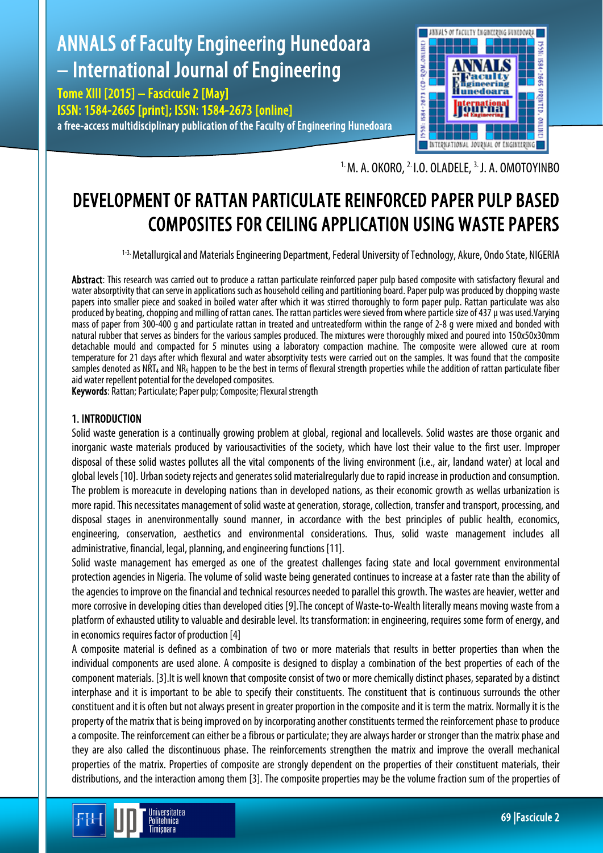# ANNALS of Faculty Engineering Hunedoara – International Journal of Engineering

Tome XIII [2015] – Fascicule 2 [May] ISSN: 1584-2665 [print]; ISSN: 1584-2673 [online] a free-access multidisciplinary publication of the Faculty of Engineering Hunedoara



 $1. M. A. OKORO, <sup>2</sup> I. O. OLADELE, <sup>3</sup> J. A. OMOTOYINBO$ 

## DEVELOPMENT OF RATTAN PARTICULATE REINFORCED PAPER PULP BASED COMPOSITES FOR CEILING APPLICATION USING WASTE PAPERS

<sup>1-3.</sup> Metallurgical and Materials Engineering Department, Federal University of Technology, Akure, Ondo State, NIGERIA

Abstract: This research was carried out to produce a rattan particulate reinforced paper pulp based composite with satisfactory flexural and water absorptivity that can serve in applications such as household ceilingand partitioning board. Paper pulp was produced by chopping waste papers into smaller piece and soaked in boiled water after which it was stirred thoroughly to form paper pulp. Rattan particulate was also produced by beating, chopping and milling of rattan canes. The rattan particles were sieved from where particle size of 437 µ was used. Varying mass of paper from 300-400 g and particulate rattan in treated and untreatedform within the range of 2-8 g were mixed and bonded with natural rubber that serves as binders for the various samples produced. The mixtures were thoroughly mixed and poured into 150x50x30mm detachable mould and compacted for 5 minutes using a laboratory compaction machine. The composite were allowed cure at room temperature for 21 days after which flexural and water absorptivity tests were carried out on the samples. It was found that the composite samples denoted as NRT<sub>4</sub> and NR<sub>5</sub> happen to be the best in terms of flexural strength properties while the addition of rattan particulate fiber aid water repellent potential for the developed composites.

Keywords: Rattan; Particulate; Paper pulp; Composite; Flexural strength

Jniversitatea Politehnica Timisnara

## 1. INTRODUCTION

Solid waste generation is a continually growing problem at global, regional and locallevels. Solid wastes are those organic and inorganic waste materials produced by variousactivities of the society, which have lost their value to the first user. Improper disposal of these solid wastes pollutes all the vital components of the living environment (i.e., air, landand water) at local and global levels [10]. Urban society rejects and generates solid materialregularly due to rapid increase in production and consumption. The problem is moreacute in developing nations than in developed nations, as their economic growth as wellas urbanization is more rapid. This necessitates management of solid waste at generation, storage, collection, transfer and transport, processing, and disposal stages in anenvironmentally sound manner, in accordance with the best principles of public health, economics, engineering, conservation, aesthetics and environmental considerations. Thus, solid waste management includes all administrative, financial, legal, planning, andengineering functions [11].

Solid waste management has emerged as one of the greatest challenges facing state and local government environmental protection agencies in Nigeria. The volume of solid waste being generated continues to increase at a faster rate than the ability of the agencies to improve on the financial and technical resources needed to parallel this growth. The wastes are heavier, wetter and more corrosive in developing cities than developed cities [9].The concept of Waste-to-Wealth literally means moving waste from a platform of exhausted utility to valuable and desirable level. Its transformation: in engineering, requires some form of energy, and in economics requires factor of production [4]

A composite material is defined as a combination of two or more materials that results in better properties than when the individual components are used alone. A composite is designed to display a combination of the best properties of each of the component materials. [3].It is well known that composite consist of two or more chemically distinct phases, separated by a distinct interphase and it is important to be able to specify their constituents. The constituent that is continuous surrounds the other constituent and it is often but not always present in greater proportion in the composite and it is term the matrix. Normally it is the property of the matrix that is being improved on by incorporating another constituents termed the reinforcement phase to produce a composite. The reinforcement can either be a fibrous or particulate; they are always harder or stronger than the matrix phase and they are also called the discontinuous phase. The reinforcements strengthen the matrix and improve the overall mechanical properties of the matrix. Properties of composite are strongly dependent on the properties of their constituent materials, their distributions, and the interaction among them [3]. The composite properties may be the volume fraction sum of the properties of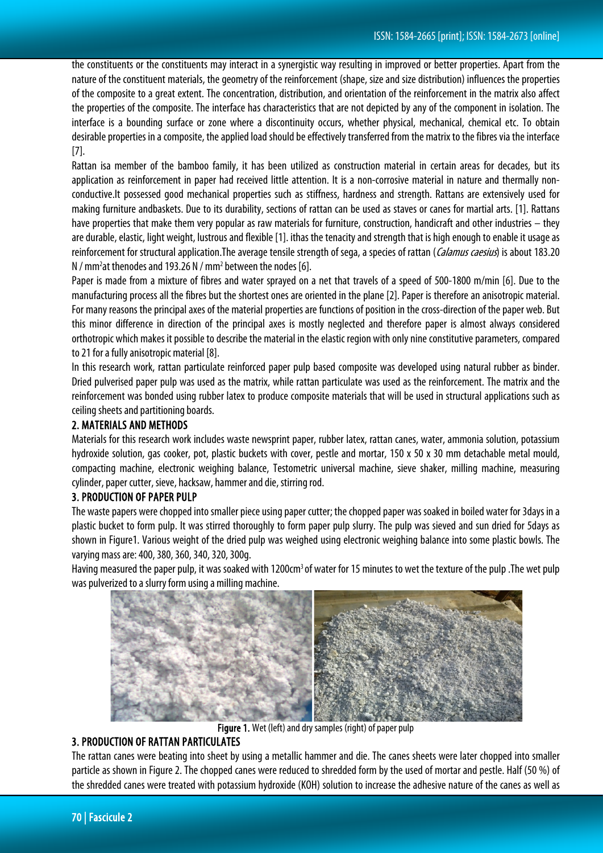the constituents or the constituents may interact in a synergistic way resulting in improved or better properties. Apart from the nature of the constituent materials, the geometry of the reinforcement (shape, size and size distribution) influences the properties of the composite to a great extent. The concentration, distribution, and orientation of the reinforcement in the matrix also affect the properties of the composite. The interface has characteristics that are not depicted by any of the component in isolation. The interface is a bounding surface or zone where a discontinuity occurs, whether physical, mechanical, chemical etc. To obtain desirable properties in a composite, the applied load should be effectively transferred from the matrix to the fibresvia the interface [7].

Rattan isa member of the bamboo family, it has been utilized as construction material in certain areas for decades, but its application as reinforcement in paper had received little attention. It is a non-corrosive material in nature and thermally nonconductive.It possessed good mechanical properties such as stiffness, hardness and strength. Rattans are extensively used for making furniture andbaskets. Due to its durability, sections of rattan can be used as staves or canes for martial arts. [1]. Rattans have properties that make them very popular as raw materials for furniture, construction, handicraft and other industries – they are durable, elastic, light weight, lustrous and flexible [1]. ithas the tenacity and strength that is high enough to enable it usage as reinforcement for structural application.The average tensile strength of sega, a species of rattan (*Calamus caesius*) is about 183.20  $N$  / mm<sup>2</sup> at thenodes and 193.26  $N$  / mm<sup>2</sup> between the nodes [6].

Paper is made from a mixture of fibres and water sprayed on a net that travels of a speed of 500-1800 m/min [6]. Due to the manufacturing process all the fibres but the shortest ones are oriented in the plane [2]. Paper is therefore an anisotropic material. For many reasons the principal axes of the material properties are functions of position in the cross-direction of the paper web. But this minor difference in direction of the principal axes is mostly neglected and therefore paper is almost always considered orthotropic which makes it possible to describe the material in the elastic region with only nine constitutive parameters, compared to 21 for a fully anisotropic material [8].

In this research work, rattan particulate reinforced paper pulp based composite was developed using natural rubber as binder. Dried pulverised paper pulp was used as the matrix, while rattan particulate was used as the reinforcement. The matrix and the reinforcement was bonded using rubber latex to produce composite materials that will be used in structural applications such as ceiling sheets and partitioning boards.

## 2. MATERIALS AND METHODS

Materials for this research work includes waste newsprint paper, rubber latex, rattan canes, water, ammonia solution, potassium hydroxide solution, gas cooker, pot, plastic buckets with cover, pestle and mortar, 150 x 50 x 30 mm detachable metal mould, compacting machine, electronic weighing balance, Testometric universal machine, sieve shaker, milling machine, measuring cylinder, paper cutter, sieve, hacksaw, hammer and die, stirring rod.

## 3. PRODUCTION OF PAPER PULP

The waste papers were chopped into smaller piece using paper cutter; the chopped paper was soaked in boiled water for 3days in a plastic bucket to form pulp. It was stirred thoroughly to form paper pulp slurry. The pulp was sieved and sun dried for 5days as shown in Figure1. Various weight of the dried pulp was weighed using electronic weighing balance into some plastic bowls. The varying mass are: 400, 380, 360, 340, 320, 300g.

Having measured the paper pulp, it was soaked with 1200cm<sup>3</sup> of water for 15 minutes to wet the texture of the pulp .The wet pulp was pulverized to a slurry form using a milling machine.



Figure 1. Wet (left) and dry samples (right) of paper pulp

## 3. PRODUCTION OF RATTAN PARTICULATES

The rattan canes were beating into sheet by using a metallic hammer and die. The canes sheets were later chopped into smaller particle as shown in Figure 2. The chopped canes were reduced to shredded form by the used of mortar and pestle. Half (50 %) of the shredded canes were treated with potassium hydroxide (KOH) solution to increase the adhesive nature of the canes as well as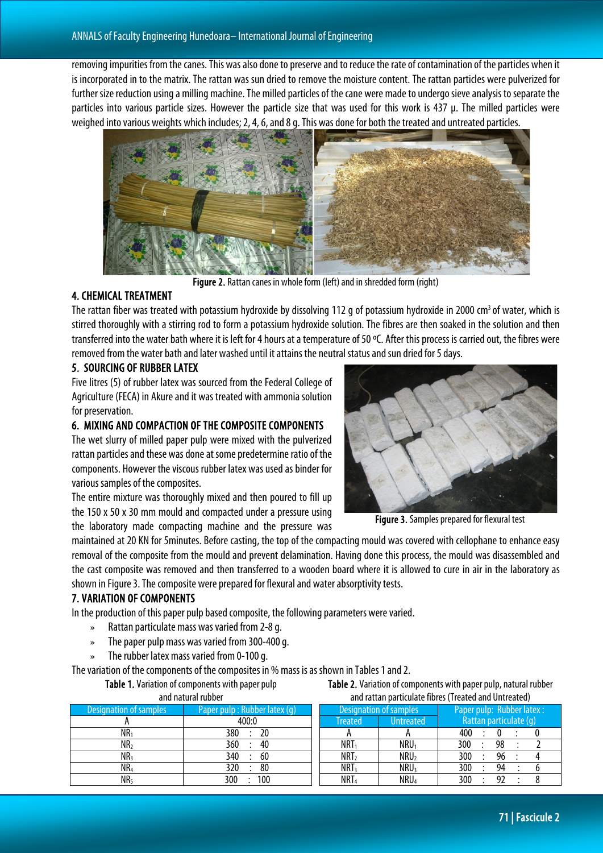removing impurities from the canes. This was also done to preserve and to reduce the rate of contamination of the particles when it is incorporated in to the matrix. The rattan was sun dried to remove the moisture content. The rattan particles were pulverized for further size reduction using a milling machine. The milled particles of the cane were made to undergo sieve analysis to separate the particles into various particle sizes. However the particle size that was used for this work is 437 µ. The milled particles were weighed into various weights which includes; 2, 4, 6, and 8 g. This was done for both the treated and untreated particles.



Figure 2. Rattan canes in whole form (left) and in shredded form (right)

### 4. CHEMICAL TREATMENT

The rattan fiber was treated with potassium hydroxide by dissolving 112 g of potassium hydroxide in 2000 cm<sup>3</sup> of water, which is stirred thoroughly with a stirring rod to form a potassium hydroxide solution. The fibres are then soaked in the solution and then transferred into the water bath where it is left for 4 hours at a temperature of 50 ºC. After this process is carried out, the fibres were removed fromthe water bath and later washed until it attains the neutral status and sun dried for 5 days.

### 5. SOURCING OF RUBBER LATEX

Five litres (5) of rubber latex was sourced from the Federal College of Agriculture (FECA) in Akure and it was treated with ammonia solution for preservation.

## 6. MIXING AND COMPACTION OF THE COMPOSITE COMPONENTS

The wet slurry of milled paper pulp were mixed with the pulverized rattan particles and these was done at some predetermine ratio of the components. However the viscous rubber latex was used as binder for various samples of the composites.

The entire mixture was thoroughly mixed and then poured to fill up the 150 x 50 x 30 mm mould and compacted under a pressure using the laboratory made compacting machine and the pressure was



Figure 3. Samples prepared for flexural test

maintained at 20 KN for 5minutes. Before casting, the top of the compacting mould was covered with cellophane to enhance easy removal of the composite from the mould and prevent delamination. Having done this process, the mould was disassembled and the cast composite was removed and then transferred to a wooden board where it is allowed to cure in air in the laboratory as shown in Figure 3. The composite were prepared for flexural and water absorptivity tests.

## 7. VARIATION OF COMPONENTS

In the production of this paper pulp based composite, the following parameters were varied.

- » Rattan particulate mass was varied from 2-8 g.
- » The paper pulp mass was varied from 300-400 g.
- » The rubber latex mass varied from 0-100 q.

The variation of the components of the composites in % mass is as shown in Tables 1and 2.

Table 1. Variation of components with paper pulp and natural rubber

Table 2. Variation of components with paper pulp, natural rubber and rattan particulate fibres (Treated and Untreated)

| and natural rupper      |                               | and rattan particulate mores (ricated and Untreated) |                  |                           |
|-------------------------|-------------------------------|------------------------------------------------------|------------------|---------------------------|
| 'Designation of samples | Paper pulp : Rubber latex (q) | Designation of samples                               |                  | Paper pulp: Rubber latex: |
|                         | 400:0                         | Treated                                              | <b>Untreated</b> | Rattan particulate (q)    |
| NR <sub>1</sub>         | 380<br>20                     |                                                      |                  | 400                       |
| NR <sub>2</sub>         | 360<br>40                     | NRT <sub>1</sub>                                     | NRU <sub>1</sub> | 300<br>98                 |
| NR <sub>3</sub>         | 340<br>60                     | NRT <sub>2</sub>                                     | NRU <sub>2</sub> | 300<br>96                 |
| NR <sub>4</sub>         | 80<br>320                     | NRT <sub>3</sub>                                     | $NRU_3$          | 300<br>94                 |
| NR <sub>5</sub>         | 100<br>300                    | NRT <sub>4</sub>                                     | NRU <sub>4</sub> | 300<br>92                 |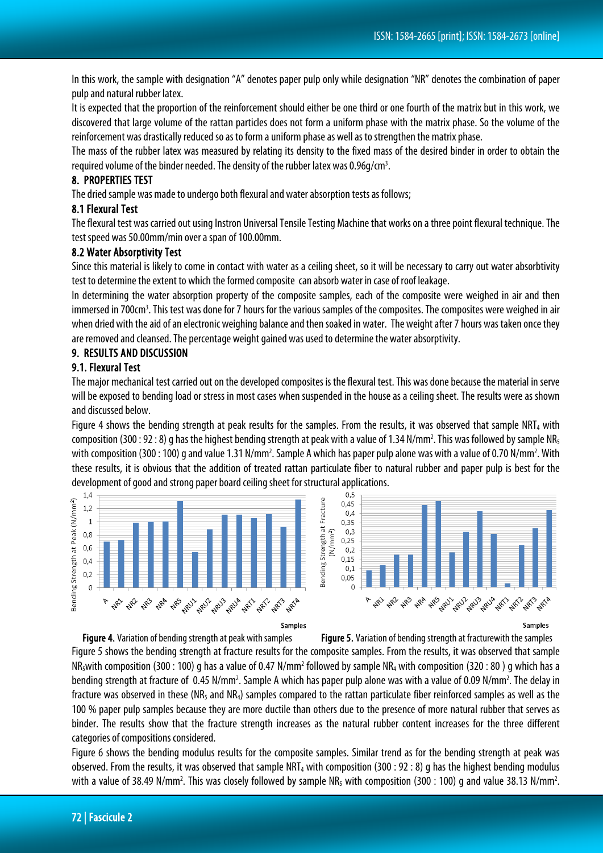In this work, the sample with designation "A" denotes paper pulp only while designation "NR" denotes the combination of paper pulp and natural rubber latex.

It is expected that the proportion of the reinforcement should either be one third or one fourth of the matrix but in this work, we discovered that large volume of the rattan particles does not form a uniform phase with the matrix phase. So the volume of the reinforcement was drastically reduced so as to form a uniform phase as well as to strengthen the matrix phase.

The mass of the rubber latex was measured by relating its density to the fixed mass of the desired binder in order to obtain the required volume of the binder needed. The density of the rubber latex was 0.96g/cm<sup>3</sup>.

#### 8. PROPERTIES TEST

The dried sample was made to undergo both flexural and water absorption tests as follows;

#### 8.1 Flexural Test

The flexural test was carried out using Instron Universal Tensile Testing Machine that works on a three point flexural technique. The test speed was 50.00mm/min over a span of 100.00mm.

#### 8.2 Water Absorptivity Test

Since this material is likely to come in contact with water as a ceiling sheet, so it will be necessary to carry out water absorbtivity test to determine the extent to which the formed composite can absorb water in case of roof leakage.

In determining the water absorption property of the composite samples, each of the composite were weighed in air and then immersed in 700cm<sup>3</sup>. This test was done for 7 hours for the various samples of the composites. The composites were weighed in air when dried with the aid of an electronic weighing balance and then soaked in water. The weight after 7 hours was taken once they are removed and cleansed. The percentage weight gained was used to determine the water absorptivity.

#### 9. RESULTS AND DISCUSSION

#### 9.1. Flexural Test

The major mechanical test carried out on the developed composites is the flexural test. This was done because the material in serve will be exposed to bending load or stress in most cases when suspended in the house as a ceiling sheet. The results were as shown and discussed below.

Figure 4 shows the bending strength at peak results for the samples. From the results, it was observed that sample  $NRT_4$  with composition (300 : 92 : 8) g has the highest bending strength at peak with a value of 1.34 N/mm<sup>2</sup>. This was followed by sample NR<sub>5</sub> with composition (300 : 100) g and value 1.31 N/mm<sup>2</sup>. Sample A which has paper pulp alone was with a value of 0.70 N/mm<sup>2</sup>. With these results, it is obvious that the addition of treated rattan particulate fiber to natural rubber and paper pulp is best for the development of good and strong paper board ceiling sheet for structural applications.





Figure 4. Variation of bending strength at peak with samples Figure 5. Variation of bending strength at fracturewith the samples

Figure 5 shows the bending strength at fracture results for the composite samples. From the results, it was observed that sample NR<sub>5</sub>with composition (300 : 100) g has a value of 0.47 N/mm<sup>2</sup> followed by sample NR<sub>4</sub> with composition (320 : 80) g which has a bending strength at fracture of 0.45 N/mm<sup>2</sup>. Sample A which has paper pulp alone was with a value of 0.09 N/mm<sup>2</sup>. The delay in fracture was observed in these (NR<sub>5</sub> and NR<sub>4</sub>) samples compared to the rattan particulate fiber reinforced samples as well as the 100 % paper pulp samples because they are more ductile than others due to the presence of more natural rubber that serves as binder. The results show that the fracture strength increases as the natural rubber content increases for the three different categories of compositions considered.

Figure 6 shows the bending modulus results for the composite samples. Similar trend as for the bending strength at peak was observed. From the results, it was observed that sample NRT<sub>4</sub> with composition (300 : 92 : 8) q has the highest bending modulus with a value of 38.49 N/mm<sup>2</sup>. This was closely followed by sample NR<sub>5</sub> with composition (300 : 100) g and value 38.13 N/mm<sup>2</sup>.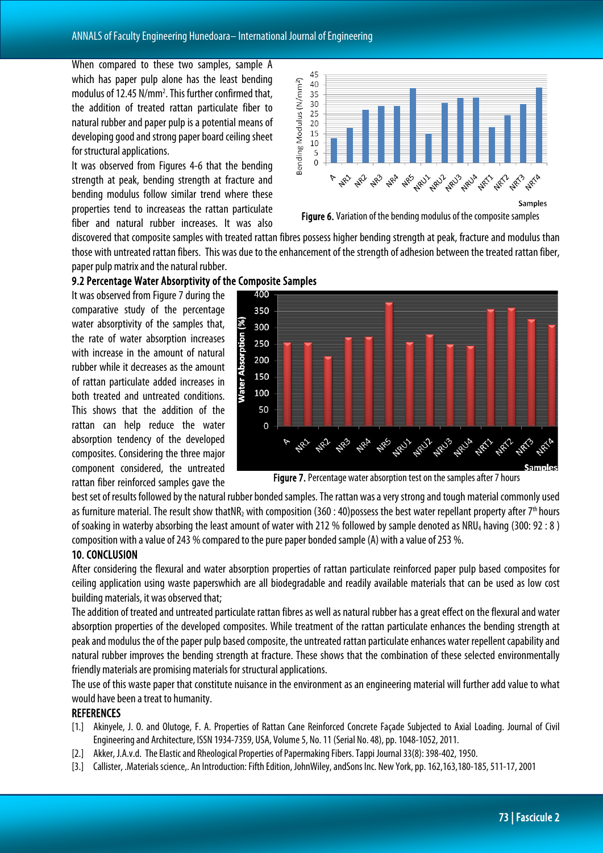When compared to these two samples, sample A which has paper pulp alone has the least bending modulus of 12.45 N/mm<sup>2</sup>. This further confirmed that, the addition of treated rattan particulate fiber to natural rubber and paper pulp is a potential means of developing good and strong paper board ceiling sheet for structural applications.

It was observed from Figures 4-6 that the bending strength at peak, bending strength at fracture and bending modulus follow similar trend where these properties tend to increaseas the rattan particulate fiber and natural rubber increases. It was also



discovered that composite samples with treated rattan fibres possess higher bending strength at peak, fracture and modulus than those with untreated rattan fibers. This wasdue to the enhancement of the strength of adhesion between the treated rattan fiber, paper pulp matrix and the natural rubber.

### 9.2 Percentage Water Absorptivity of the Composite Samples

It was observed from Figure 7 during the comparative study of the percentage water absorptivity of the samples that, the rate of water absorption increases with increase in the amount of natural rubber while it decreases as the amount of rattan particulate added increases in both treated and untreated conditions. This shows that the addition of the rattan can help reduce the water absorption tendency of the developed composites. Considering the three major component considered, the untreated rattan fiber reinforced samples gave the



Figure 7. Percentage water absorption test on the samples after 7 hours

best set of results followed by the natural rubber bonded samples. The rattan was a very strong and tough material commonly used as furniture material. The result show thatNR<sub>2</sub> with composition (360 : 40)possess the best water repellant property after 7<sup>th</sup> hours of soaking in waterby absorbing the least amount of water with 212 % followed by sample denoted as NRU4 having (300: 92 : 8 ) composition with a value of 243 % compared to the pure paper bonded sample (A) with a value of 253 %.

#### 10. CONCLUSION

After considering the flexural and water absorption properties of rattan particulate reinforced paper pulp based composites for ceiling application using waste paperswhich are all biodegradable and readily available materials that can be used as low cost building materials, it was observed that;

The addition of treated and untreated particulate rattan fibres as well as natural rubber has a great effect on the flexural and water absorption properties of the developed composites. While treatment of the rattan particulate enhances the bending strength at peak and modulus the of the paper pulp based composite, the untreated rattan particulate enhances water repellent capability and natural rubber improves the bending strength at fracture. These shows that the combination of these selected environmentally friendly materials are promising materials for structural applications.

The use of this waste paper that constitute nuisance in the environment as an engineering material will further add value to what would have been a treat to humanity.

#### **REFERENCES**

- [1.] Akinyele, J. O. and Olutoge, F. A. Properties of Rattan Cane Reinforced Concrete Facade Subjected to Axial Loading. Journal of Civil Engineering and Architecture, ISSN 1934-7359, USA, Volume 5, No. 11 (Serial No. 48), pp. 1048-1052, 2011.
- [2.] Akker, J.A.v.d. The Elastic and Rheological Properties of Papermaking Fibers. Tappi Journal 33(8): 398-402, 1950.
- [3.] Callister, .Materials science,. An Introduction: Fifth Edition, JohnWiley, andSons Inc. New York, pp. 162,163,180-185, 511-17, 2001